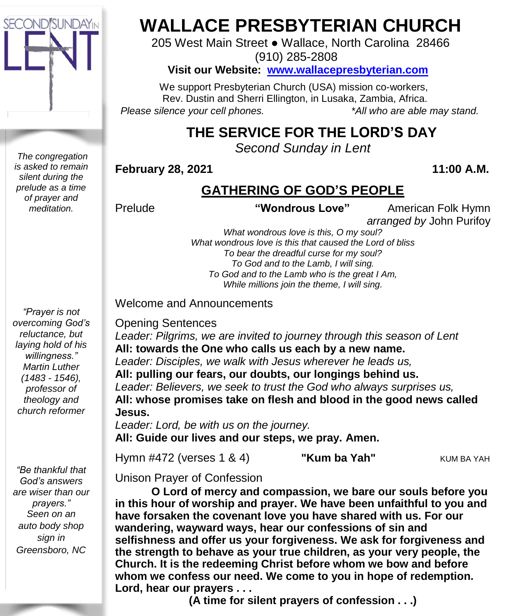

*The congregation is asked to remain silent during the prelude as a time of prayer and meditation.*

*"Prayer is not overcoming God's reluctance, but laying hold of his willingness." Martin Luther (1483 - 1546), professor of theology and church reformer*

*"Be thankful that God's answers are wiser than our prayers." Seen on an auto body shop sign in Greensboro, NC*

# **WALLACE PRESBYTERIAN CHURCH**

205 West Main Street ● Wallace, North Carolina 28466

(910) 285-2808

### **Visit our Website: [www.wallacepresbyterian.com](http://www.wallacepresbyterian.com/)**

 We support Presbyterian Church (USA) mission co-workers, Rev. Dustin and Sherri Ellington, in Lusaka, Zambia, Africa. *Please silence your cell phones. \*All who are able may stand.*

# **THE SERVICE FOR THE LORD'S DAY**

*Second Sunday in Lent* 

### **February 28, 2021 11:00 A.M.**

## **GATHERING OF GOD'S PEOPLE**

Prelude **"Wondrous Love"** American Folk Hymn  *arranged by* John Purifoy

> *What wondrous love is this, O my soul? What wondrous love is this that caused the Lord of bliss To bear the dreadful curse for my soul? To God and to the Lamb, I will sing. To God and to the Lamb who is the great I Am, While millions join the theme, I will sing.*

#### Welcome and Announcements

#### Opening Sentences

*Leader: Pilgrims, we are invited to journey through this season of Lent* **All: towards the One who calls us each by a new name.** *Leader: Disciples, we walk with Jesus wherever he leads us,* **All: pulling our fears, our doubts, our longings behind us.** *Leader: Believers, we seek to trust the God who always surprises us,* **All: whose promises take on flesh and blood in the good news called Jesus.**

*Leader: Lord, be with us on the journey.* **All: Guide our lives and our steps, we pray. Amen.**

Hymn #472 (verses 1 & 4) **"Kum ba Yah"** KUM BA YAH

Unison Prayer of Confession

**O Lord of mercy and compassion, we bare our souls before you in this hour of worship and prayer. We have been unfaithful to you and have forsaken the covenant love you have shared with us. For our wandering, wayward ways, hear our confessions of sin and selfishness and offer us your forgiveness. We ask for forgiveness and the strength to behave as your true children, as your very people, the Church. It is the redeeming Christ before whom we bow and before whom we confess our need. We come to you in hope of redemption. Lord, hear our prayers . . .**

**(A time for silent prayers of confession . . .)**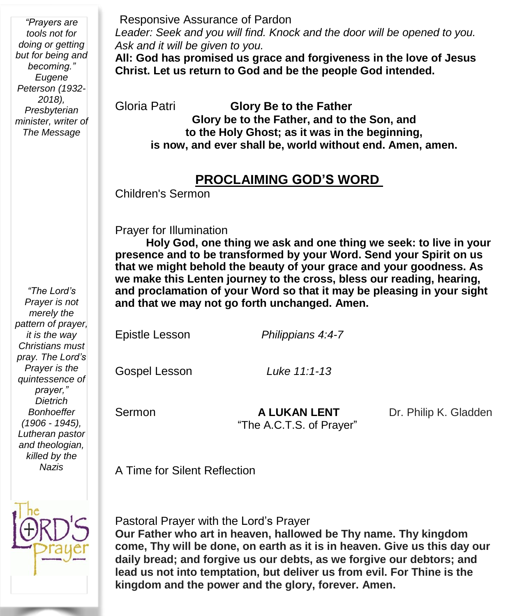*"Prayers are tools not for doing or getting but for being and becoming." Eugene Peterson (1932- 2018), Presbyterian minister, writer of The Message*

#### Responsive Assurance of Pardon

*Leader: Seek and you will find. Knock and the door will be opened to you. Ask and it will be given to you.*

**All: God has promised us grace and forgiveness in the love of Jesus Christ. Let us return to God and be the people God intended.**

Gloria Patri **Glory Be to the Father Glory be to the Father, and to the Son, and to the Holy Ghost; as it was in the beginning, is now, and ever shall be, world without end. Amen, amen.**

## **PROCLAIMING GOD'S WORD**

Children's Sermon

Prayer for Illumination

 **Holy God, one thing we ask and one thing we seek: to live in your presence and to be transformed by your Word. Send your Spirit on us that we might behold the beauty of your grace and your goodness. As we make this Lenten journey to the cross, bless our reading, hearing, and proclamation of your Word so that it may be pleasing in your sight and that we may not go forth unchanged. Amen.**

Epistle Lesson *Philippians 4:4-7*

Gospel Lesson *Luke 11:1-13*

**Sermon A LUKAN LENT** Dr. Philip K. Gladden "The A.C.T.S. of Prayer"

A Time for Silent Reflection



Pastoral Prayer with the Lord's Prayer

**Our Father who art in heaven, hallowed be Thy name. Thy kingdom come, Thy will be done, on earth as it is in heaven. Give us this day our daily bread; and forgive us our debts, as we forgive our debtors; and lead us not into temptation, but deliver us from evil. For Thine is the kingdom and the power and the glory, forever. Amen.**

*"The Lord's Prayer is not merely the pattern of prayer, it is the way Christians must pray. The Lord's Prayer is the quintessence of prayer," Dietrich Bonhoeffer (1906 - 1945), Lutheran pastor and theologian, killed by the Nazis*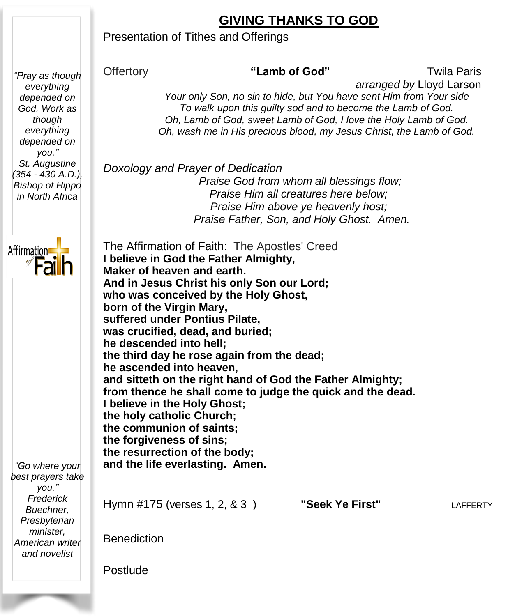# **GIVING THANKS TO GOD**

### Presentation of Tithes and Offerings

*"Pray as though everything depended on God. Work as though everything depended on you." St. Augustine (354 - 430 A.D.), Bishop of Hippo in North Africa*



*you."*

*minister,*

Offertory **"Lamb of God"** Twila Paris

 *arranged by* Lloyd Larson

*Your only Son, no sin to hide, but You have sent Him from Your side To walk upon this guilty sod and to become the Lamb of God. Oh, Lamb of God, sweet Lamb of God, I love the Holy Lamb of God. Oh, wash me in His precious blood, my Jesus Christ, the Lamb of God.*

 *Doxology and Prayer of Dedication Praise God from whom all blessings flow; Praise Him all creatures here below; Praise Him above ye heavenly host; Praise Father, Son, and Holy Ghost. Amen.*

 The Affirmation of Faith: The Apostles' Creed **I believe in God the Father Almighty, Maker of heaven and earth. And in Jesus Christ his only Son our Lord; who was conceived by the Holy Ghost, born of the Virgin Mary, suffered under Pontius Pilate, was crucified, dead, and buried; he descended into hell; the third day he rose again from the dead; he ascended into heaven, and sitteth on the right hand of God the Father Almighty; from thence he shall come to judge the quick and the dead. I believe in the Holy Ghost; the holy catholic Church; the communion of saints; the forgiveness of sins; the resurrection of the body; and the life everlasting. Amen.** Hymn #175 (verses 1, 2, & 3 ) **"Seek Ye First"** LAFFERTY Benediction *"Go where your best prayers take Frederick Buechner, Presbyterian American writer and novelist*

Postlude